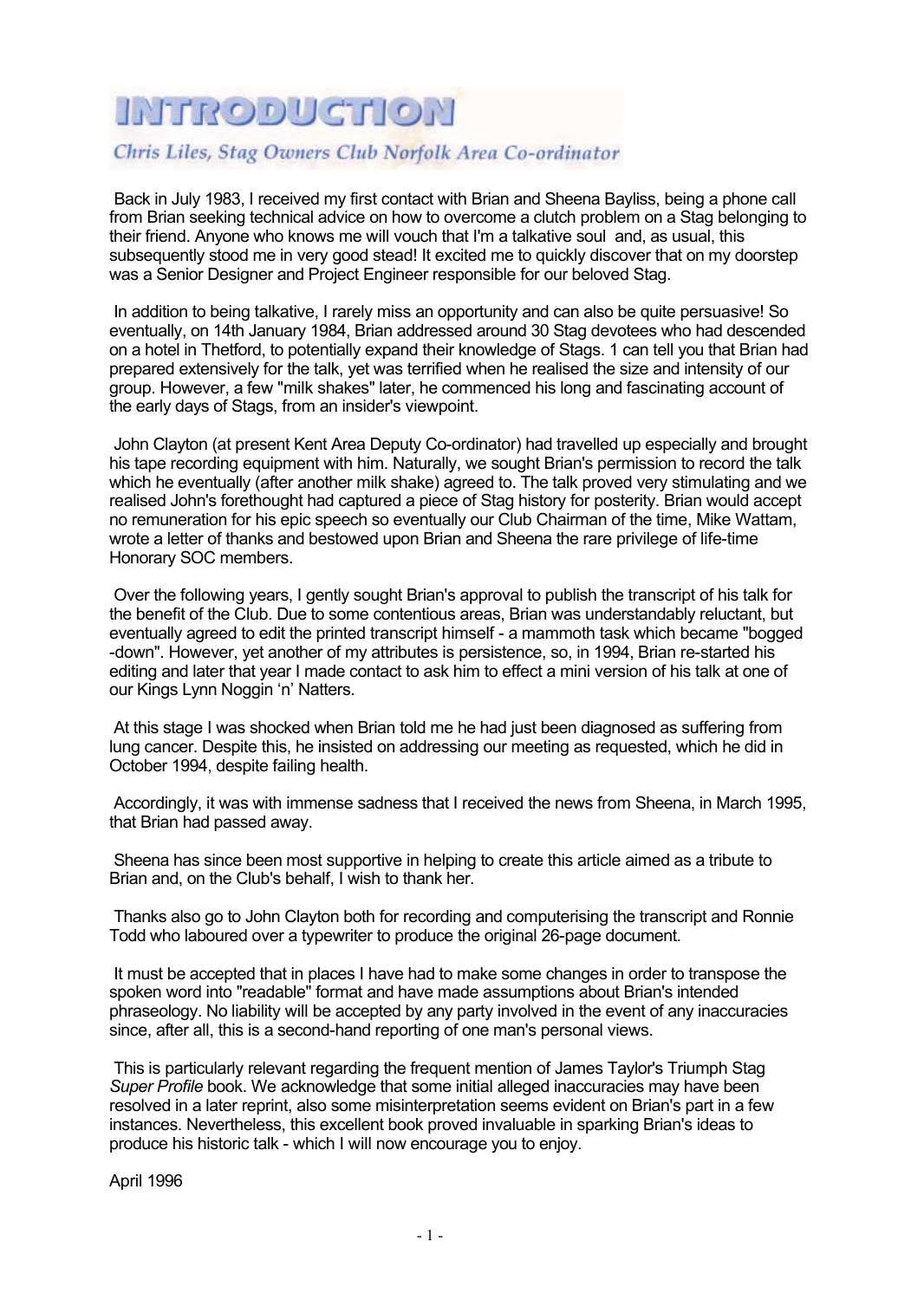## MOLDUCOMMI

## Chris Liles, Stag Owners Club Norfolk Area Co-ordinator

Back in July 1983, I received my first contact with Brian and Sheena Bayliss, being a phone call from Brian seeking technical advice on how to overcome a clutch problem on a Stag belonging to their friend. Anyone who knows me will vouch that I'm a talkative soul and, as usual, this subsequently stood me in very good stead! It excited me to quickly discover that on my doorstep was a Senior Designer and Project Engineer responsible for our beloved Stag.

In addition to being talkative, I rarely miss an opportunity and can also be quite persuasive! So eventually, on 14th January 1984, Brian addressed around 30 Stag devotees who had descended on a hotel in Thetford, to potentially expand their knowledge of Stags. 1 can tell you that Brian had prepared extensively for the talk, yet was terrified when he realised the size and intensity of our group. However, a few "milk shakes" later, he commenced his long and fascinating account of the early days of Stags, from an insider's viewpoint.

John Clayton (at present Kent Area Deputy Co-ordinator) had travelled up especially and brought his tape recording equipment with him. Naturally, we sought Brian's permission to record the talk which he eventually (after another milk shake) agreed to. The talk proved very stimulating and we realised John's forethought had captured a piece of Stag history for posterity. Brian would accept no remuneration for his epic speech so eventually our Club Chairman of the time, Mike Wattam, wrote a letter of thanks and bestowed upon Brian and Sheena the rare privilege of life-time Honorary SOC members.

Over the following years, I gently sought Brian's approval to publish the transcript of his talk for the benefit of the Club. Due to some contentious areas, Brian was understandably reluctant, but eventually agreed to edit the printed transcript himself - a mammoth task which became "bogged -down". However, yet another of my attributes is persistence, so, in 1994, Brian re-started his editing and later that year I made contact to ask him to effect a mini version of his talk at one of our Kings Lynn Noggin 'n' Natters.

At this stage I was shocked when Brian told me he had just been diagnosed as suffering from lung cancer. Despite this, he insisted on addressing our meeting as requested, which he did in October 1994, despite failing health.

Accordingly, it was with immense sadness that I received the news from Sheena, in March 1995, that Brian had passed away.

Sheena has since been most supportive in helping to create this article aimed as a tribute to Brian and, on the Club's behalf, I wish to thank her.

Thanks also go to John Clayton both for recording and computerising the transcript and Ronnie Todd who laboured over a typewriter to produce the original 26-page document.

It must be accepted that in places I have had to make some changes in order to transpose the spoken word into "readable" format and have made assumptions about Brian's intended phraseology. No liability will be accepted by any party involved in the event of any inaccuracies since, after all, this is a second-hand reporting of one man's personal views.

This is particularly relevant regarding the frequent mention of James Taylor's Triumph Stag *Super Profile* book. We acknowledge that some initial alleged inaccuracies may have been resolved in a later reprint, also some misinterpretation seems evident on Brian's part in a few instances. Nevertheless, this excellent book proved invaluable in sparking Brian's ideas to produce his historic talk - which I will now encourage you to enjoy.

April 1996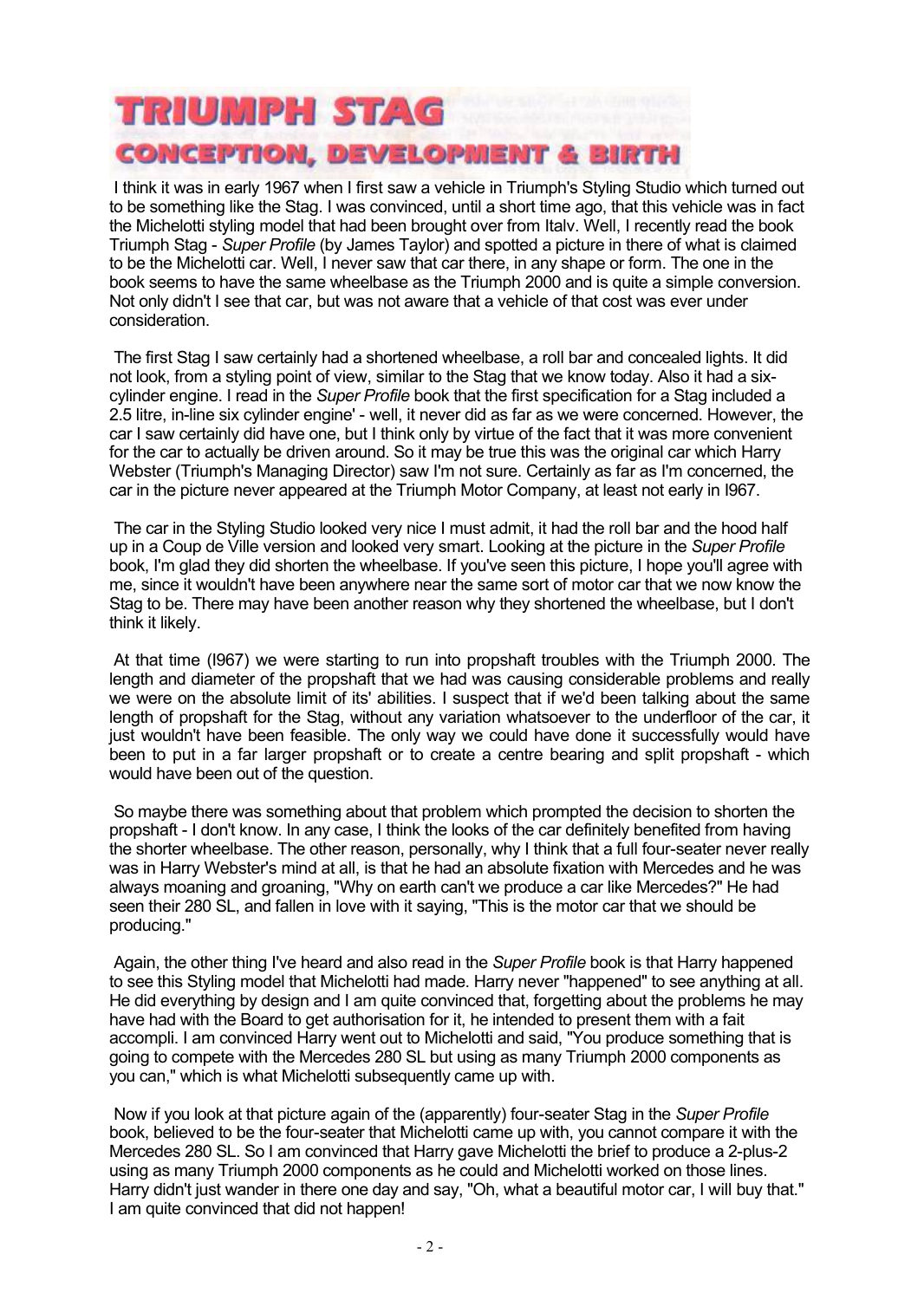## **TRIUMPH STAG CONCEPTION, DEVELOPMENT & BIRTH**

I think it was in early 1967 when I first saw a vehicle in Triumph's Styling Studio which turned out to be something like the Stag. I was convinced, until a short time ago, that this vehicle was in fact the Michelotti styling model that had been brought over from Italv. Well, I recently read the book Triumph Stag - *Super Profile* (by James Taylor) and spotted a picture in there of what is claimed to be the Michelotti car. Well, I never saw that car there, in any shape or form. The one in the book seems to have the same wheelbase as the Triumph 2000 and is quite a simple conversion. Not only didn't I see that car, but was not aware that a vehicle of that cost was ever under consideration.

The first Stag I saw certainly had a shortened wheelbase, a roll bar and concealed lights. It did not look, from a styling point of view, similar to the Stag that we know today. Also it had a sixcylinder engine. I read in the *Super Profile* book that the first specification for a Stag included a 2.5 litre, in-line six cylinder engine' - well, it never did as far as we were concerned. However, the car I saw certainly did have one, but I think only by virtue of the fact that it was more convenient for the car to actually be driven around. So it may be true this was the original car which Harry Webster (Triumph's Managing Director) saw I'm not sure. Certainly as far as I'm concerned, the car in the picture never appeared at the Triumph Motor Company, at least not early in I967.

The car in the Styling Studio looked very nice I must admit, it had the roll bar and the hood half up in a Coup de Ville version and looked very smart. Looking at the picture in the *Super Profile* book, I'm glad they did shorten the wheelbase. If you've seen this picture, I hope you'll agree with me, since it wouldn't have been anywhere near the same sort of motor car that we now know the Stag to be. There may have been another reason why they shortened the wheelbase, but I don't think it likely.

At that time (I967) we were starting to run into propshaft troubles with the Triumph 2000. The length and diameter of the propshaft that we had was causing considerable problems and really we were on the absolute limit of its' abilities. I suspect that if we'd been talking about the same length of propshaft for the Stag, without any variation whatsoever to the underfloor of the car, it just wouldn't have been feasible. The only way we could have done it successfully would have been to put in a far larger propshaft or to create a centre bearing and split propshaft - which would have been out of the question.

So maybe there was something about that problem which prompted the decision to shorten the propshaft - I don't know. In any case, I think the looks of the car definitely benefited from having the shorter wheelbase. The other reason, personally, why I think that a full four-seater never really was in Harry Webster's mind at all, is that he had an absolute fixation with Mercedes and he was always moaning and groaning, "Why on earth can't we produce a car like Mercedes?" He had seen their 280 SL, and fallen in love with it saying, "This is the motor car that we should be producing."

Again, the other thing I've heard and also read in the *Super Profile* book is that Harry happened to see this Styling model that Michelotti had made. Harry never "happened" to see anything at all. He did everything by design and I am quite convinced that, forgetting about the problems he may have had with the Board to get authorisation for it, he intended to present them with a fait accompli. I am convinced Harry went out to Michelotti and said, "You produce something that is going to compete with the Mercedes 280 SL but using as many Triumph 2000 components as you can," which is what Michelotti subsequently came up with.

Now if you look at that picture again of the (apparently) four-seater Stag in the *Super Profile* book, believed to be the four-seater that Michelotti came up with, you cannot compare it with the Mercedes 280 SL. So I am convinced that Harry gave Michelotti the brief to produce a 2-plus-2 using as many Triumph 2000 components as he could and Michelotti worked on those lines. Harry didn't just wander in there one day and say, "Oh, what a beautiful motor car, I will buy that." I am quite convinced that did not happen!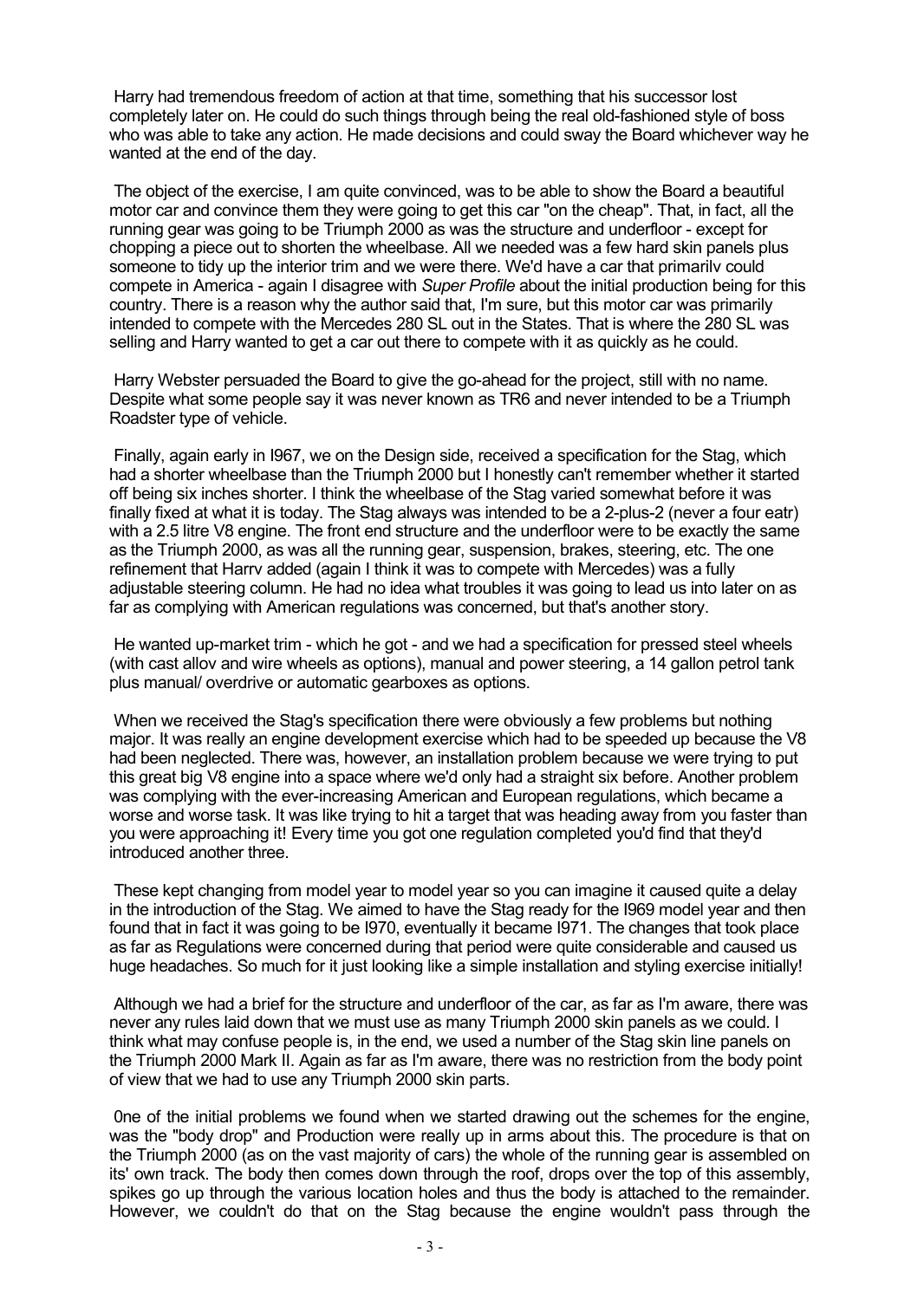Harry had tremendous freedom of action at that time, something that his successor lost completely later on. He could do such things through being the real old-fashioned style of boss who was able to take any action. He made decisions and could sway the Board whichever way he wanted at the end of the day.

The object of the exercise, I am quite convinced, was to be able to show the Board a beautiful motor car and convince them they were going to get this car "on the cheap". That, in fact, all the running gear was going to be Triumph 2000 as was the structure and underfloor - except for chopping a piece out to shorten the wheelbase. All we needed was a few hard skin panels plus someone to tidy up the interior trim and we were there. We'd have a car that primarilv could compete in America - again I disagree with *Super Profile* about the initial production being for this country. There is a reason why the author said that, I'm sure, but this motor car was primarily intended to compete with the Mercedes 280 SL out in the States. That is where the 280 SL was selling and Harry wanted to get a car out there to compete with it as quickly as he could.

Harry Webster persuaded the Board to give the go-ahead for the project, still with no name. Despite what some people say it was never known as TR6 and never intended to be a Triumph Roadster type of vehicle.

Finally, again early in I967, we on the Design side, received a specification for the Stag, which had a shorter wheelbase than the Triumph 2000 but I honestly can't remember whether it started off being six inches shorter. I think the wheelbase of the Stag varied somewhat before it was finally fixed at what it is today. The Stag always was intended to be a 2-plus-2 (never a four eatr) with a 2.5 litre V8 engine. The front end structure and the underfloor were to be exactly the same as the Triumph 2000, as was all the running gear, suspension, brakes, steering, etc. The one refinement that Harrv added (again I think it was to compete with Mercedes) was a fully adjustable steering column. He had no idea what troubles it was going to lead us into later on as far as complying with American regulations was concerned, but that's another story.

He wanted up-market trim - which he got - and we had a specification for pressed steel wheels (with cast allov and wire wheels as options), manual and power steering, a 14 gallon petrol tank plus manual/ overdrive or automatic gearboxes as options.

When we received the Stag's specification there were obviously a few problems but nothing major. It was really an engine development exercise which had to be speeded up because the V8 had been neglected. There was, however, an installation problem because we were trying to put this great big V8 engine into a space where we'd only had a straight six before. Another problem was complying with the ever-increasing American and European regulations, which became a worse and worse task. It was like trying to hit a target that was heading away from you faster than you were approaching it! Every time you got one regulation completed you'd find that they'd introduced another three.

These kept changing from model year to model year so you can imagine it caused quite a delay in the introduction of the Stag. We aimed to have the Stag ready for the I969 model year and then found that in fact it was going to be I970, eventually it became I971. The changes that took place as far as Regulations were concerned during that period were quite considerable and caused us huge headaches. So much for it just looking like a simple installation and styling exercise initially!

Although we had a brief for the structure and underfloor of the car, as far as I'm aware, there was never any rules laid down that we must use as many Triumph 2000 skin panels as we could. I think what may confuse people is, in the end, we used a number of the Stag skin line panels on the Triumph 2000 Mark II. Again as far as I'm aware, there was no restriction from the body point of view that we had to use any Triumph 2000 skin parts.

0ne of the initial problems we found when we started drawing out the schemes for the engine, was the "body drop" and Production were really up in arms about this. The procedure is that on the Triumph 2000 (as on the vast majority of cars) the whole of the running gear is assembled on its' own track. The body then comes down through the roof, drops over the top of this assembly, spikes go up through the various location holes and thus the body is attached to the remainder. However, we couldn't do that on the Stag because the engine wouldn't pass through the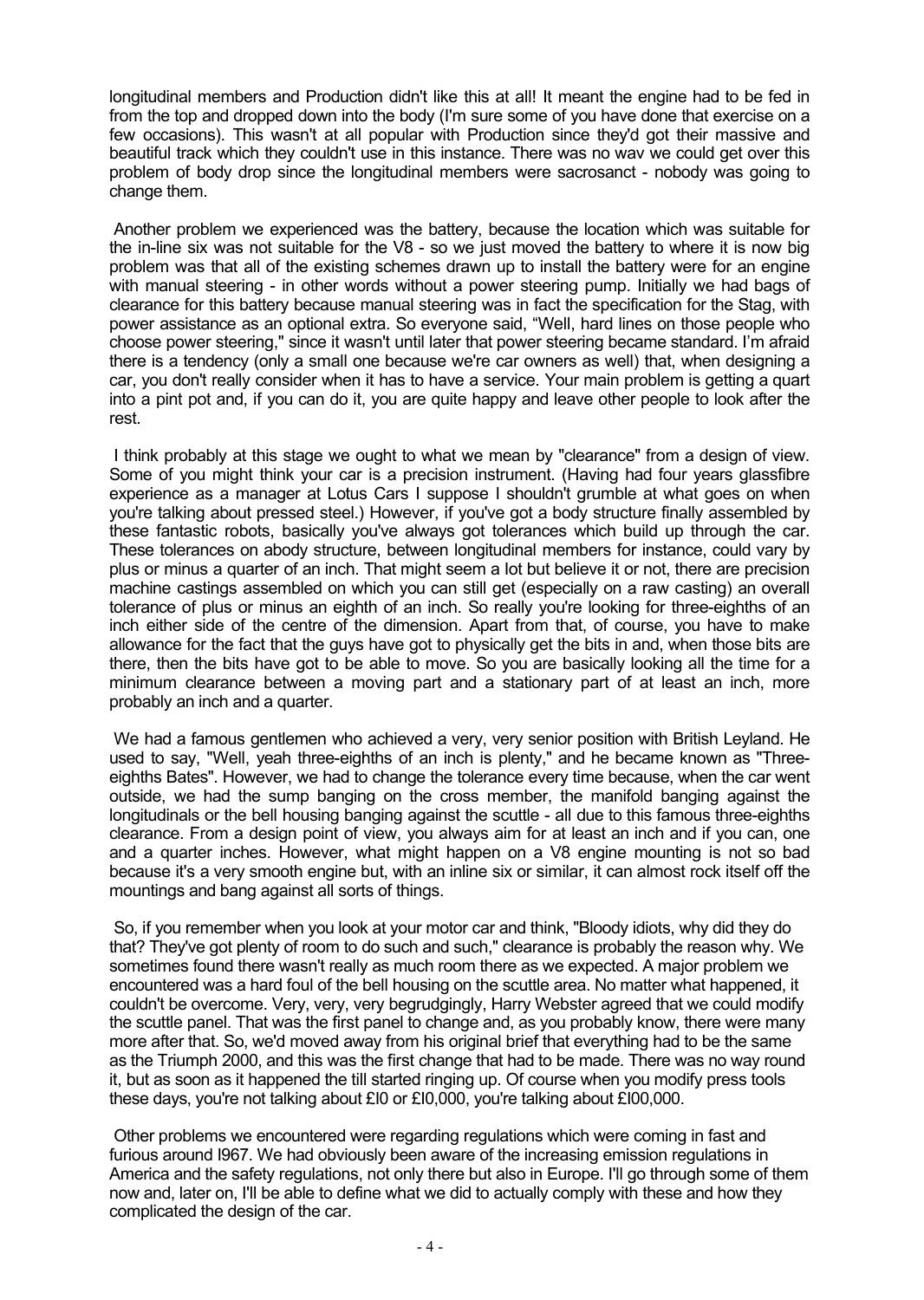longitudinal members and Production didn't like this at all! It meant the engine had to be fed in from the top and dropped down into the body (I'm sure some of you have done that exercise on a few occasions). This wasn't at all popular with Production since they'd got their massive and beautiful track which they couldn't use in this instance. There was no wav we could get over this problem of body drop since the longitudinal members were sacrosanct - nobody was going to change them.

Another problem we experienced was the battery, because the location which was suitable for the in-line six was not suitable for the V8 - so we just moved the battery to where it is now big problem was that all of the existing schemes drawn up to install the battery were for an engine with manual steering - in other words without a power steering pump. Initially we had bags of clearance for this battery because manual steering was in fact the specification for the Stag, with power assistance as an optional extra. So everyone said, "Well, hard lines on those people who choose power steering," since it wasn't until later that power steering became standard. I'm afraid there is a tendency (only a small one because we're car owners as well) that, when designing a car, you don't really consider when it has to have a service. Your main problem is getting a quart into a pint pot and, if you can do it, you are quite happy and leave other people to look after the rest.

I think probably at this stage we ought to what we mean by "clearance" from a design of view. Some of you might think your car is a precision instrument. (Having had four years glassfibre experience as a manager at Lotus Cars I suppose I shouldn't grumble at what goes on when you're talking about pressed steel.) However, if you've got a body structure finally assembled by these fantastic robots, basically you've always got tolerances which build up through the car. These tolerances on abody structure, between longitudinal members for instance, could vary by plus or minus a quarter of an inch. That might seem a Iot but believe it or not, there are precision machine castings assembled on which you can still get (especially on a raw casting) an overall tolerance of plus or minus an eighth of an inch. So really you're looking for three-eighths of an inch either side of the centre of the dimension. Apart from that, of course, you have to make allowance for the fact that the guys have got to physically get the bits in and, when those bits are there, then the bits have got to be able to move. So you are basically looking all the time for a minimum clearance between a moving part and a stationary part of at least an inch, more probably an inch and a quarter.

We had a famous gentlemen who achieved a very, very senior position with British Leyland. He used to say, "Well, yeah three-eighths of an inch is plenty," and he became known as "Threeeighths Bates". However, we had to change the tolerance every time because, when the car went outside, we had the sump banging on the cross member, the manifold banging against the longitudinals or the bell housing banging against the scuttle - all due to this famous three-eighths clearance. From a design point of view, you always aim for at least an inch and if you can, one and a quarter inches. However, what might happen on a V8 engine mounting is not so bad because it's a very smooth engine but, with an inline six or similar, it can almost rock itself off the mountings and bang against all sorts of things.

So, if you remember when you look at your motor car and think, "Bloody idiots, why did they do that? They've got plenty of room to do such and such," clearance is probably the reason why. We sometimes found there wasn't really as much room there as we expected. A major problem we encountered was a hard foul of the bell housing on the scuttle area. No matter what happened, it couldn't be overcome. Very, very, very begrudgingly, Harry Webster agreed that we could modify the scuttle panel. That was the first panel to change and, as you probably know, there were many more after that. So, we'd moved away from his original brief that everything had to be the same as the Triumph 2000, and this was the first change that had to be made. There was no way round it, but as soon as it happened the till started ringing up. Of course when you modify press tools these days, you're not talking about ÉI0 or ÉI0,000, you're talking about ÉI00,000.

Other problems we encountered were regarding regulations which were coming in fast and furious around I967. We had obviously been aware of the increasing emission regulations in America and the safety regulations, not only there but also in Europe. I'll go through some of them now and, later on, I'll be able to define what we did to actually comply with these and how they complicated the design of the car.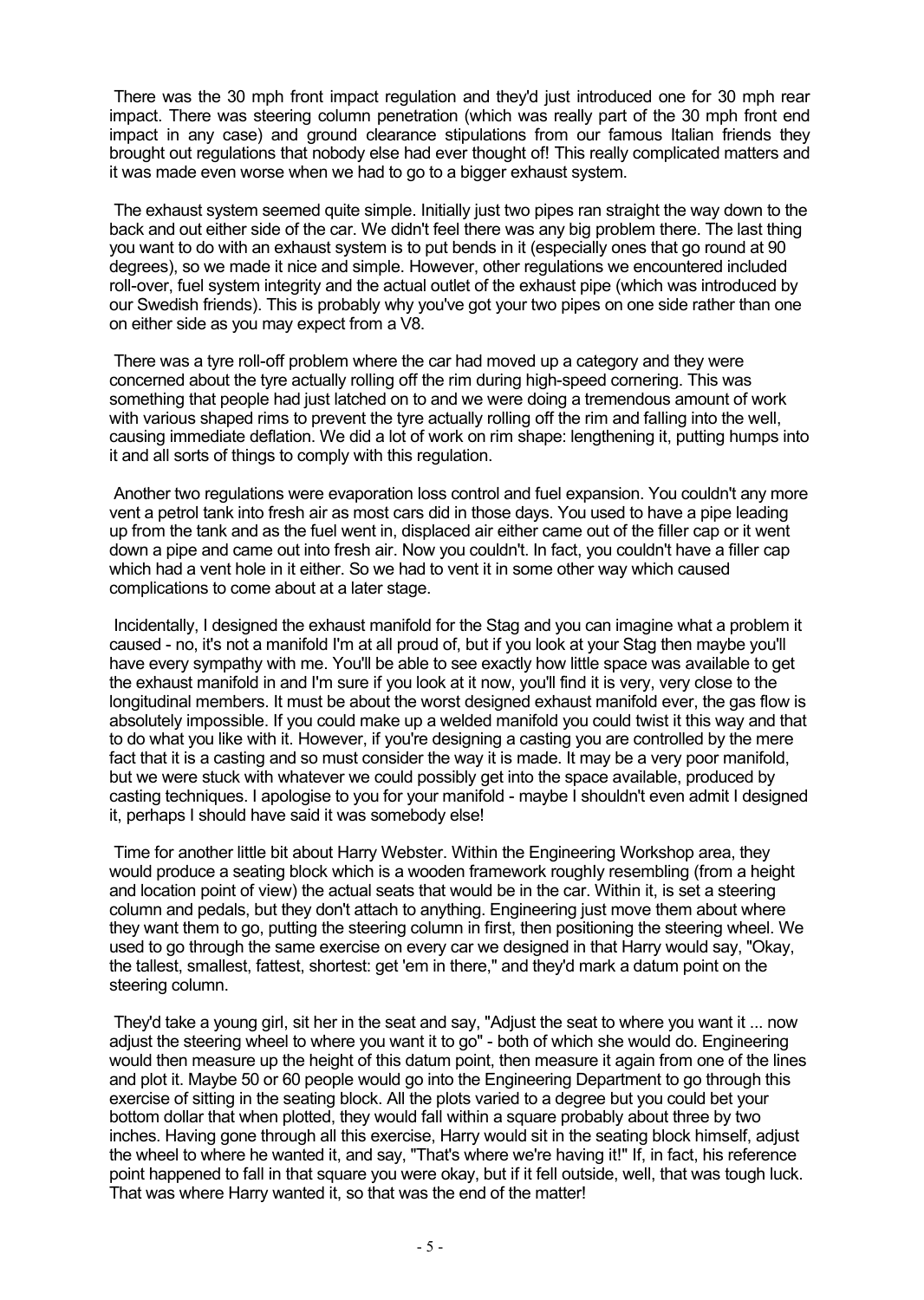There was the 30 mph front impact regulation and they'd just introduced one for 30 mph rear impact. There was steering column penetration (which was really part of the 30 mph front end impact in any case) and ground clearance stipulations from our famous Italian friends they brought out regulations that nobody else had ever thought of! This really complicated matters and it was made even worse when we had to go to a bigger exhaust system.

The exhaust system seemed quite simple. Initially just two pipes ran straight the way down to the back and out either side of the car. We didn't feel there was any big problem there. The last thing you want to do with an exhaust system is to put bends in it (especially ones that go round at 90 degrees), so we made it nice and simple. However, other regulations we encountered included roll-over, fuel system integrity and the actual outlet of the exhaust pipe (which was introduced by our Swedish friends). This is probably why you've got your two pipes on one side rather than one on either side as you may expect from a V8.

There was a tyre roll-off problem where the car had moved up a category and they were concerned about the tyre actually rolling off the rim during high-speed cornering. This was something that people had just latched on to and we were doing a tremendous amount of work with various shaped rims to prevent the tyre actually rolling off the rim and falling into the well, causing immediate deflation. We did a lot of work on rim shape: lengthening it, putting humps into it and all sorts of things to comply with this regulation.

Another two regulations were evaporation loss control and fuel expansion. You couldn't any more vent a petrol tank into fresh air as most cars did in those days. You used to have a pipe leading up from the tank and as the fuel went in, displaced air either came out of the filler cap or it went down a pipe and came out into fresh air. Now you couldn't. In fact, you couldn't have a filler cap which had a vent hole in it either. So we had to vent it in some other way which caused complications to come about at a later stage.

Incidentally, I designed the exhaust manifold for the Stag and you can imagine what a problem it caused - no, it's not a manifold I'm at all proud of, but if you look at your Stag then maybe you'll have every sympathy with me. You'll be able to see exactly how little space was available to get the exhaust manifold in and I'm sure if you look at it now, you'll find it is very, very close to the longitudinal members. It must be about the worst designed exhaust manifold ever, the gas flow is absolutely impossible. If you could make up a welded manifold you could twist it this way and that to do what you like with it. However, if you're designing a casting you are controlled by the mere fact that it is a casting and so must consider the way it is made. It may be a very poor manifold, but we were stuck with whatever we could possibly get into the space available, produced by casting techniques. I apologise to you for your manifold - maybe I shouldn't even admit I designed it, perhaps I should have said it was somebody else!

Time for another little bit about Harry Webster. Within the Engineering Workshop area, they would produce a seating block which is a wooden framework roughly resembling (from a height and location point of view) the actual seats that would be in the car. Within it, is set a steering column and pedals, but they don't attach to anything. Engineering just move them about where they want them to go, putting the steering column in first, then positioning the steering wheel. We used to go through the same exercise on every car we designed in that Harry would say, "Okay, the tallest, smallest, fattest, shortest: get 'em in there," and they'd mark a datum point on the steering column.

They'd take a young girl, sit her in the seat and say, "Adjust the seat to where you want it ... now adjust the steering wheel to where you want it to go" - both of which she would do. Engineering would then measure up the height of this datum point, then measure it again from one of the lines and plot it. Maybe 50 or 60 people would go into the Engineering Department to go through this exercise of sitting in the seating block. All the plots varied to a degree but you could bet your bottom dollar that when plotted, they would fall within a square probably about three by two inches. Having gone through all this exercise, Harry would sit in the seating block himself, adjust the wheel to where he wanted it, and say, "That's where we're having it!" If, in fact, his reference point happened to fall in that square you were okay, but if it fell outside, well, that was tough luck. That was where Harry wanted it, so that was the end of the matter!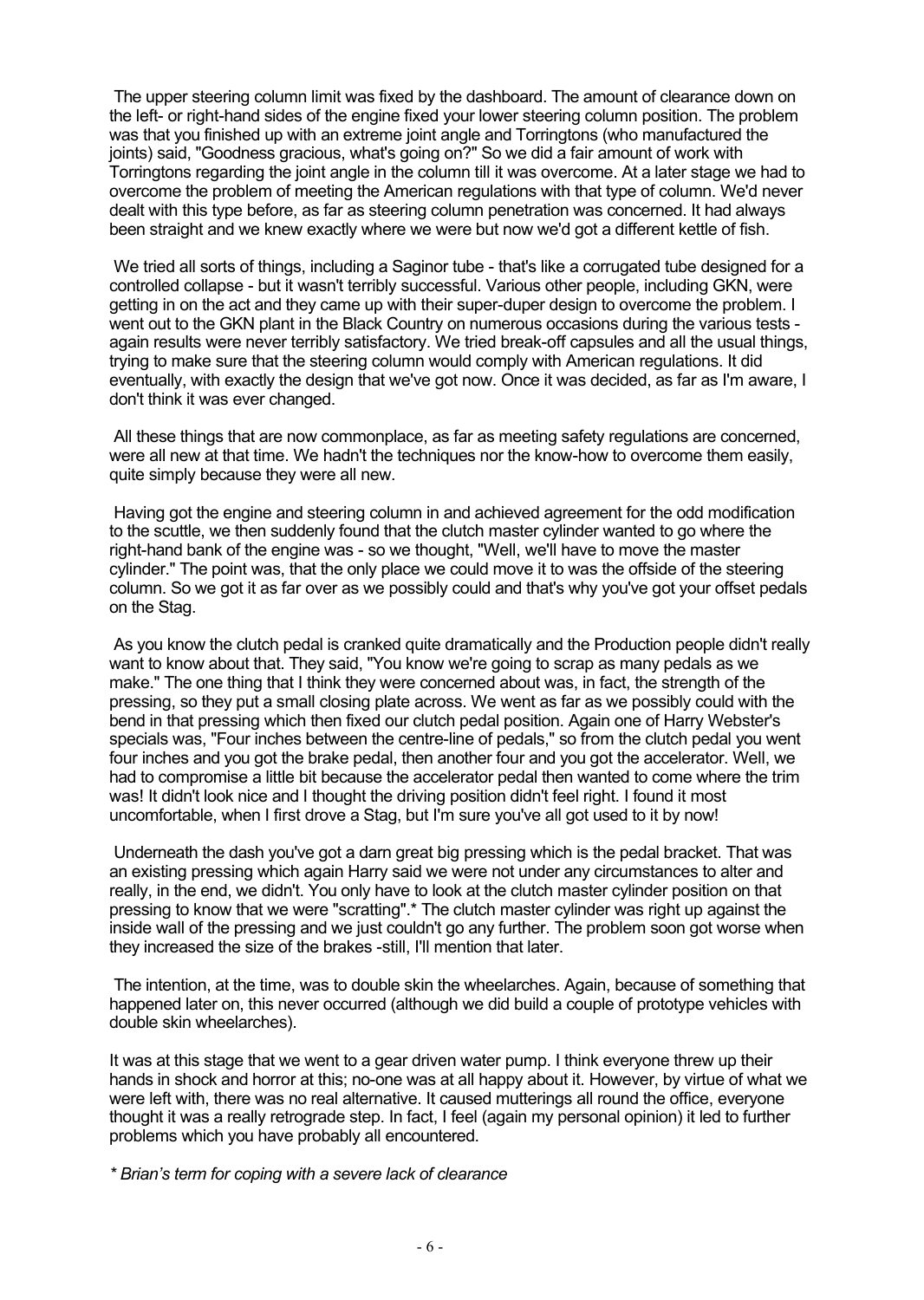The upper steering column limit was fixed by the dashboard. The amount of clearance down on the left- or right-hand sides of the engine fixed your lower steering column position. The problem was that you finished up with an extreme joint angle and Torringtons (who manufactured the joints) said, "Goodness gracious, what's going on?" So we did a fair amount of work with Torringtons regarding the joint angle in the column till it was overcome. At a later stage we had to overcome the problem of meeting the American regulations with that type of column. We'd never dealt with this type before, as far as steering column penetration was concerned. It had always been straight and we knew exactly where we were but now we'd got a different kettle of fish.

We tried all sorts of things, including a Saginor tube - that's like a corrugated tube designed for a controlled collapse - but it wasn't terribly successful. Various other people, including GKN, were getting in on the act and they came up with their super-duper design to overcome the problem. I went out to the GKN plant in the Black Country on numerous occasions during the various tests again results were never terribly satisfactory. We tried break-off capsules and all the usual things, trying to make sure that the steering column would comply with American regulations. It did eventually, with exactly the design that we've got now. Once it was decided, as far as I'm aware, I don't think it was ever changed.

All these things that are now commonplace, as far as meeting safety regulations are concerned, were all new at that time. We hadn't the techniques nor the know-how to overcome them easily, quite simply because they were all new.

Having got the engine and steering column in and achieved agreement for the odd modification to the scuttle, we then suddenly found that the clutch master cylinder wanted to go where the right-hand bank of the engine was - so we thought, "Well, we'll have to move the master cylinder." The point was, that the only place we could move it to was the offside of the steering column. So we got it as far over as we possibly could and that's why you've got your offset pedals on the Stag.

As you know the clutch pedal is cranked quite dramatically and the Production people didn't really want to know about that. They said, "You know we're going to scrap as many pedals as we make." The one thing that I think they were concerned about was, in fact, the strength of the pressing, so they put a small closing plate across. We went as far as we possibly could with the bend in that pressing which then fixed our clutch pedal position. Again one of Harry Webster's specials was, "Four inches between the centre-line of pedals," so from the clutch pedal you went four inches and you got the brake pedal, then another four and you got the accelerator. Well, we had to compromise a little bit because the accelerator pedal then wanted to come where the trim was! It didn't look nice and I thought the driving position didn't feel right. I found it most uncomfortable, when I first drove a Stag, but I'm sure you've all got used to it by now!

Underneath the dash you've got a darn great big pressing which is the pedal bracket. That was an existing pressing which again Harry said we were not under any circumstances to alter and really, in the end, we didn't. You only have to look at the clutch master cylinder position on that pressing to know that we were "scratting".\* The clutch master cylinder was right up against the inside wall of the pressing and we just couldn't go any further. The problem soon got worse when they increased the size of the brakes -still, I'll mention that later.

The intention, at the time, was to double skin the wheelarches. Again, because of something that happened later on, this never occurred (although we did build a couple of prototype vehicles with double skin wheelarches).

It was at this stage that we went to a gear driven water pump. I think everyone threw up their hands in shock and horror at this; no-one was at all happy about it. However, by virtue of what we were left with, there was no real alternative. It caused mutterings all round the office, everyone thought it was a really retrograde step. In fact, I feel (again my personal opinion) it led to further problems which you have probably all encountered.

*\* Brian's term for coping with a severe lack of clearance*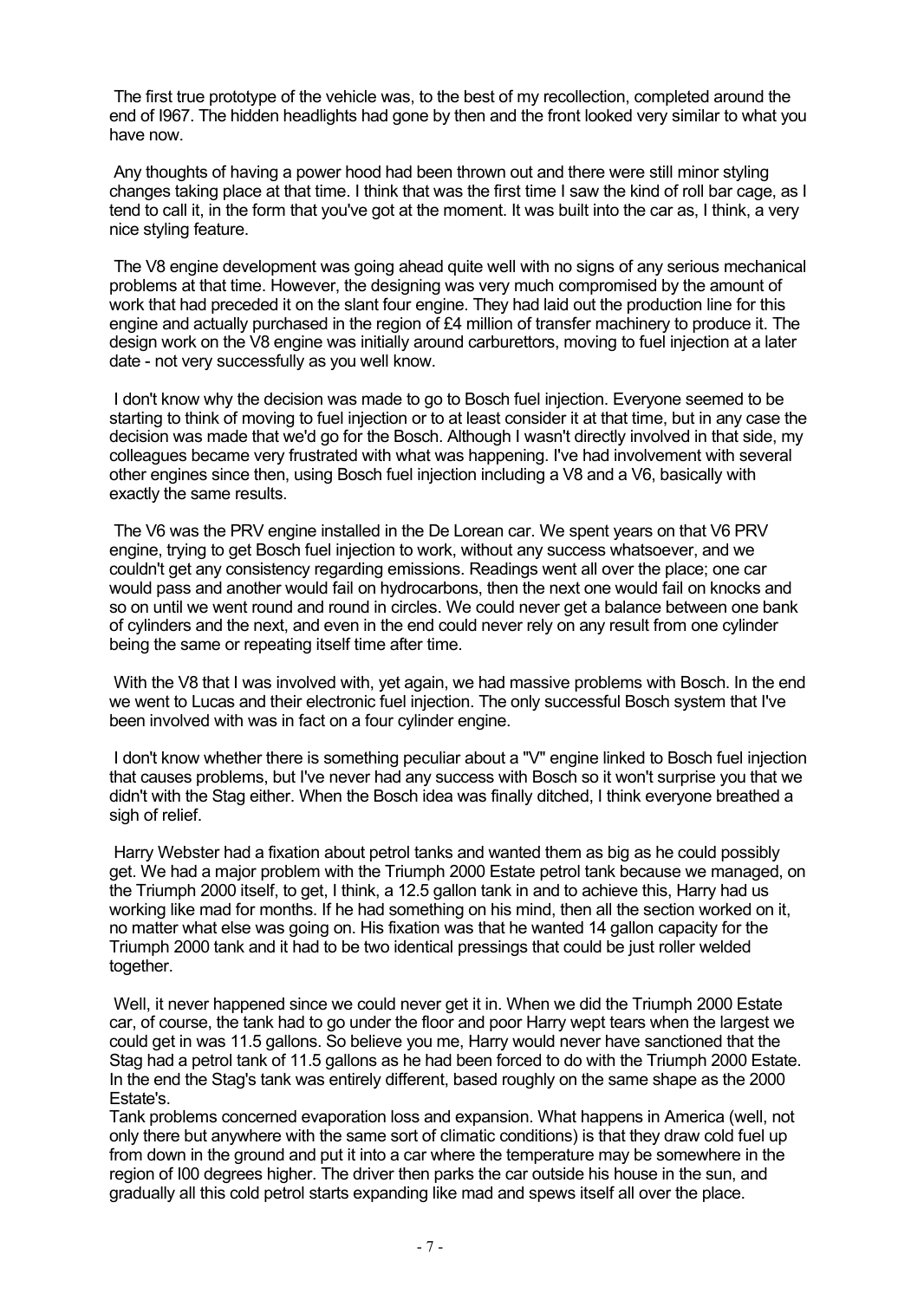The first true prototype of the vehicle was, to the best of my recollection, completed around the end of I967. The hidden headlights had gone by then and the front looked very similar to what you have now.

Any thoughts of having a power hood had been thrown out and there were still minor styling changes taking place at that time. I think that was the first time I saw the kind of roll bar cage, as I tend to call it, in the form that you've got at the moment. It was built into the car as, I think, a very nice styling feature.

The V8 engine development was going ahead quite well with no signs of any serious mechanical problems at that time. However, the designing was very much compromised by the amount of work that had preceded it on the slant four engine. They had laid out the production line for this engine and actually purchased in the region of £4 million of transfer machinery to produce it. The design work on the V8 engine was initially around carburettors, moving to fuel injection at a later date - not very successfully as you well know.

I don't know why the decision was made to go to Bosch fuel injection. Everyone seemed to be starting to think of moving to fuel injection or to at least consider it at that time, but in any case the decision was made that we'd go for the Bosch. Although I wasn't directly involved in that side, my colleagues became very frustrated with what was happening. I've had involvement with several other engines since then, using Bosch fuel injection including a V8 and a V6, basically with exactly the same results.

The V6 was the PRV engine installed in the De Lorean car. We spent years on that V6 PRV engine, trying to get Bosch fuel injection to work, without any success whatsoever, and we couldn't get any consistency regarding emissions. Readings went all over the place; one car would pass and another would fail on hydrocarbons, then the next one would fail on knocks and so on until we went round and round in circles. We could never get a balance between one bank of cylinders and the next, and even in the end could never rely on any result from one cylinder being the same or repeating itself time after time.

With the V8 that I was involved with, yet again, we had massive problems with Bosch. In the end we went to Lucas and their electronic fuel injection. The only successful Bosch system that I've been involved with was in fact on a four cylinder engine.

I don't know whether there is something peculiar about a "V" engine linked to Bosch fuel injection that causes problems, but I've never had any success with Bosch so it won't surprise you that we didn't with the Stag either. When the Bosch idea was finally ditched, I think everyone breathed a sigh of relief.

Harry Webster had a fixation about petrol tanks and wanted them as big as he could possibly get. We had a major problem with the Triumph 2000 Estate petrol tank because we managed, on the Triumph 2000 itself, to get, I think, a 12.5 gallon tank in and to achieve this, Harry had us working like mad for months. If he had something on his mind, then all the section worked on it, no matter what else was going on. His fixation was that he wanted 14 gallon capacity for the Triumph 2000 tank and it had to be two identical pressings that could be just roller welded together.

Well, it never happened since we could never get it in. When we did the Triumph 2000 Estate car, of course, the tank had to go under the floor and poor Harry wept tears when the largest we could get in was 11.5 gallons. So believe you me, Harry would never have sanctioned that the Stag had a petrol tank of 11.5 gallons as he had been forced to do with the Triumph 2000 Estate. In the end the Stag's tank was entirely different, based roughly on the same shape as the 2000 Estate's.

Tank problems concerned evaporation loss and expansion. What happens in America (well, not only there but anywhere with the same sort of climatic conditions) is that they draw cold fuel up from down in the ground and put it into a car where the temperature may be somewhere in the region of I00 degrees higher. The driver then parks the car outside his house in the sun, and gradually all this cold petrol starts expanding like mad and spews itself all over the place.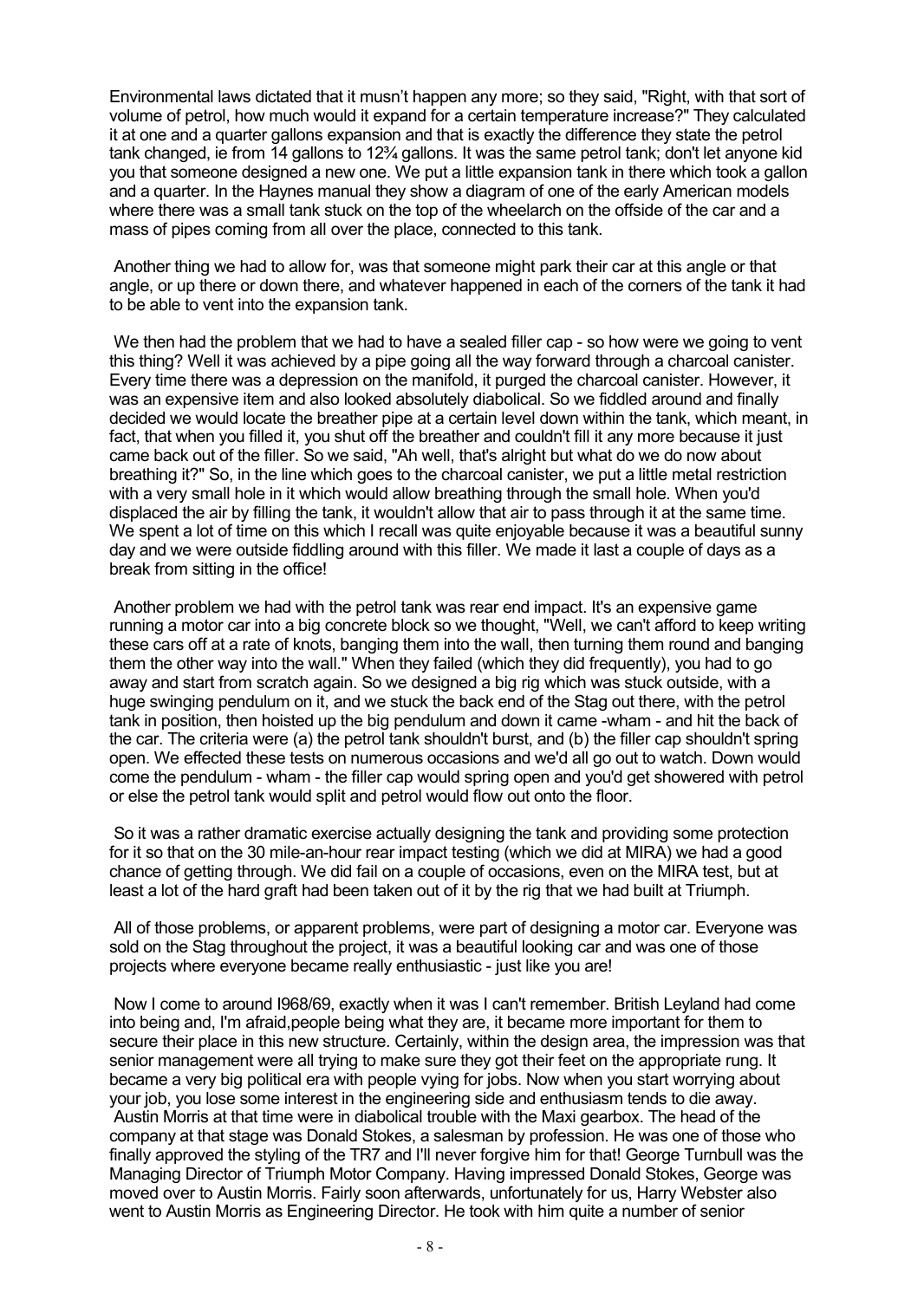Environmental laws dictated that it musn't happen any more; so they said, "Right, with that sort of volume of petrol, how much would it expand for a certain temperature increase?" They calculated it at one and a quarter gallons expansion and that is exactly the difference they state the petrol tank changed, ie from 14 gallons to 12 $\frac{3}{4}$  gallons. It was the same petrol tank; don't let anyone kid you that someone designed a new one. We put a little expansion tank in there which took a gallon and a quarter. In the Haynes manual they show a diagram of one of the early American models where there was a small tank stuck on the top of the wheelarch on the offside of the car and a mass of pipes coming from all over the place, connected to this tank.

Another thing we had to allow for, was that someone might park their car at this angle or that angle, or up there or down there, and whatever happened in each of the corners of the tank it had to be able to vent into the expansion tank.

We then had the problem that we had to have a sealed filler cap - so how were we going to vent this thing? Well it was achieved by a pipe going all the way forward through a charcoal canister. Every time there was a depression on the manifold, it purged the charcoal canister. However, it was an expensive item and also looked absolutely diabolical. So we fiddled around and finally decided we would locate the breather pipe at a certain level down within the tank, which meant, in fact, that when you filled it, you shut off the breather and couldn't fill it any more because it just came back out of the filler. So we said, "Ah well, that's alright but what do we do now about breathing it?" So, in the line which goes to the charcoal canister, we put a little metal restriction with a very small hole in it which would allow breathing through the small hole. When you'd displaced the air by filling the tank, it wouldn't allow that air to pass through it at the same time. We spent a lot of time on this which I recall was quite enjoyable because it was a beautiful sunny day and we were outside fiddling around with this filler. We made it last a couple of days as a break from sitting in the office!

Another problem we had with the petrol tank was rear end impact. It's an expensive game running a motor car into a big concrete block so we thought, "Well, we can't afford to keep writing these cars off at a rate of knots, banging them into the wall, then turning them round and banging them the other way into the wall." When they failed (which they did frequently), you had to go away and start from scratch again. So we designed a big rig which was stuck outside, with a huge swinging pendulum on it, and we stuck the back end of the Stag out there, with the petrol tank in position, then hoisted up the big pendulum and down it came -wham - and hit the back of the car. The criteria were (a) the petrol tank shouldn't burst, and (b) the filler cap shouldn't spring open. We effected these tests on numerous occasions and we'd all go out to watch. Down would come the pendulum - wham - the filler cap would spring open and you'd get showered with petrol or else the petrol tank would split and petrol would flow out onto the floor.

So it was a rather dramatic exercise actually designing the tank and providing some protection for it so that on the 30 mile-an-hour rear impact testing (which we did at MIRA) we had a good chance of getting through. We did fail on a couple of occasions, even on the MIRA test, but at least a lot of the hard graft had been taken out of it by the rig that we had built at Triumph.

All of those problems, or apparent problems, were part of designing a motor car. Everyone was sold on the Stag throughout the project, it was a beautiful looking car and was one of those projects where everyone became really enthusiastic - just like you are!

Now I come to around I968/69, exactly when it was I can't remember. British Leyland had come into being and, I'm afraid,people being what they are, it became more important for them to secure their place in this new structure. Certainly, within the design area, the impression was that senior management were all trying to make sure they got their feet on the appropriate rung. It became a very big political era with people vying for jobs. Now when you start worrying about your job, you lose some interest in the engineering side and enthusiasm tends to die away. Austin Morris at that time were in diabolical trouble with the Maxi gearbox. The head of the company at that stage was Donald Stokes, a salesman by profession. He was one of those who finally approved the styling of the TR7 and I'll never forgive him for that! George Turnbull was the Managing Director of Triumph Motor Company. Having impressed Donald Stokes, George was moved over to Austin Morris. Fairly soon afterwards, unfortunately for us, Harry Webster also went to Austin Morris as Engineering Director. He took with him quite a number of senior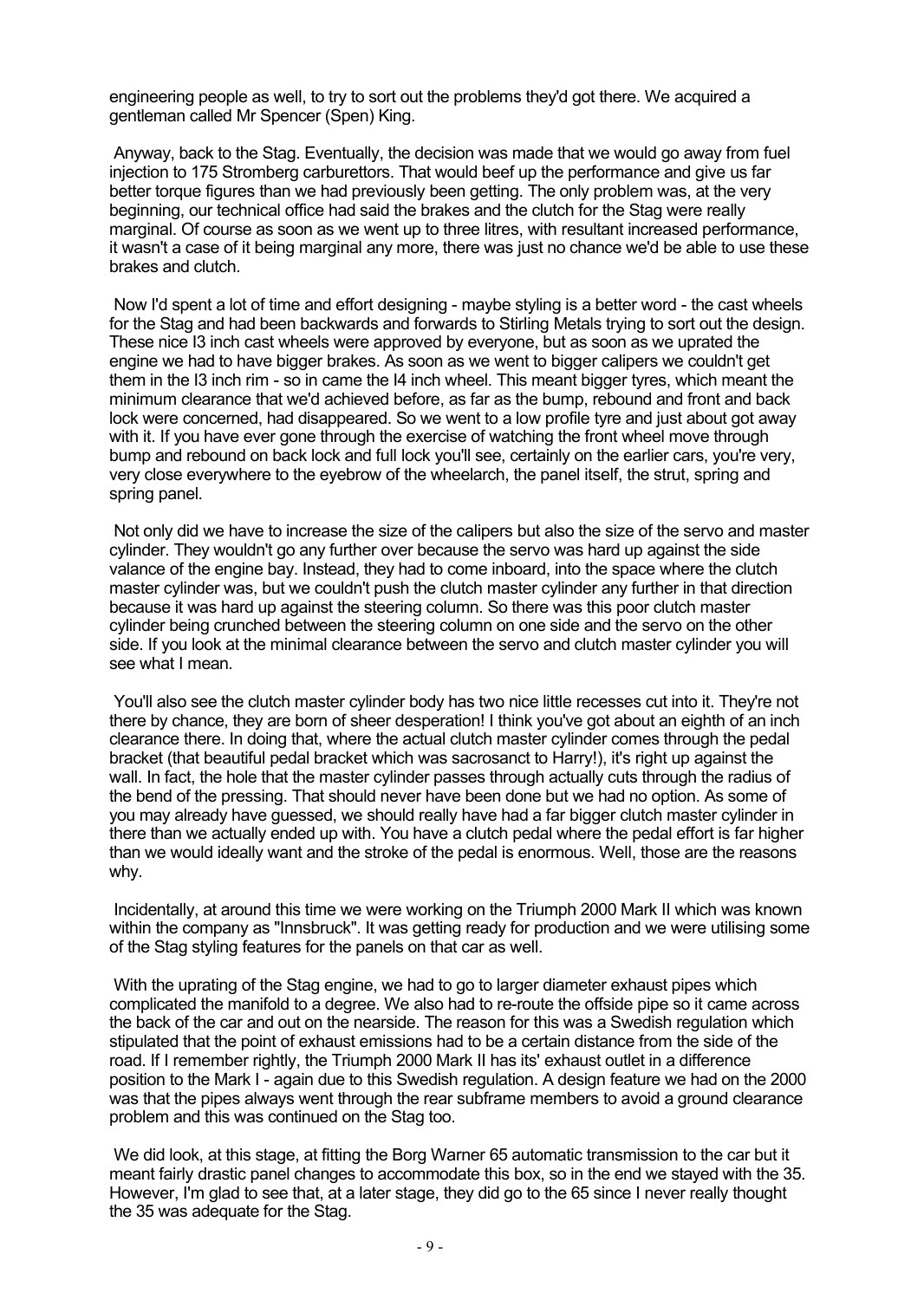engineering people as well, to try to sort out the problems they'd got there. We acquired a gentleman called Mr Spencer (Spen) King.

Anyway, back to the Stag. Eventually, the decision was made that we would go away from fuel injection to 175 Stromberg carburettors. That would beef up the performance and give us far better torque figures than we had previously been getting. The only problem was, at the very beginning, our technical office had said the brakes and the clutch for the Stag were really marginal. Of course as soon as we went up to three litres, with resultant increased performance, it wasn't a case of it being marginal any more, there was just no chance we'd be able to use these brakes and clutch.

Now I'd spent a lot of time and effort designing - maybe styling is a better word - the cast wheels for the Stag and had been backwards and forwards to Stirling Metals trying to sort out the design. These nice I3 inch cast wheels were approved by everyone, but as soon as we uprated the engine we had to have bigger brakes. As soon as we went to bigger calipers we couldn't get them in the I3 inch rim - so in came the I4 inch wheel. This meant bigger tyres, which meant the minimum clearance that we'd achieved before, as far as the bump, rebound and front and back lock were concerned, had disappeared. So we went to a low profile tyre and just about got away with it. If you have ever gone through the exercise of watching the front wheel move through bump and rebound on back lock and full lock you'll see, certainly on the earlier cars, you're very, very close everywhere to the eyebrow of the wheelarch, the panel itself, the strut, spring and spring panel.

Not only did we have to increase the size of the calipers but also the size of the servo and master cylinder. They wouldn't go any further over because the servo was hard up against the side valance of the engine bay. Instead, they had to come inboard, into the space where the clutch master cylinder was, but we couldn't push the clutch master cylinder any further in that direction because it was hard up against the steering column. So there was this poor clutch master cylinder being crunched between the steering column on one side and the servo on the other side. If you look at the minimal clearance between the servo and clutch master cylinder you will see what I mean.

You'll also see the clutch master cylinder body has two nice little recesses cut into it. They're not there by chance, they are born of sheer desperation! I think you've got about an eighth of an inch clearance there. In doing that, where the actual clutch master cylinder comes through the pedal bracket (that beautiful pedal bracket which was sacrosanct to Harry!), it's right up against the wall. In fact, the hole that the master cylinder passes through actually cuts through the radius of the bend of the pressing. That should never have been done but we had no option. As some of you may already have guessed, we should really have had a far bigger clutch master cylinder in there than we actually ended up with. You have a clutch pedal where the pedal effort is far higher than we would ideally want and the stroke of the pedal is enormous. Well, those are the reasons why.

Incidentally, at around this time we were working on the Triumph 2000 Mark II which was known within the company as "Innsbruck". It was getting ready for production and we were utilising some of the Stag styling features for the panels on that car as well.

With the uprating of the Stag engine, we had to go to larger diameter exhaust pipes which complicated the manifold to a degree. We also had to re-route the offside pipe so it came across the back of the car and out on the nearside. The reason for this was a Swedish regulation which stipulated that the point of exhaust emissions had to be a certain distance from the side of the road. If I remember rightly, the Triumph 2000 Mark II has its' exhaust outlet in a difference position to the Mark I - again due to this Swedish regulation. A design feature we had on the 2000 was that the pipes always went through the rear subframe members to avoid a ground clearance problem and this was continued on the Stag too.

We did look, at this stage, at fitting the Borg Warner 65 automatic transmission to the car but it meant fairly drastic panel changes to accommodate this box, so in the end we stayed with the 35. However, I'm glad to see that, at a later stage, they did go to the 65 since I never really thought the 35 was adequate for the Stag.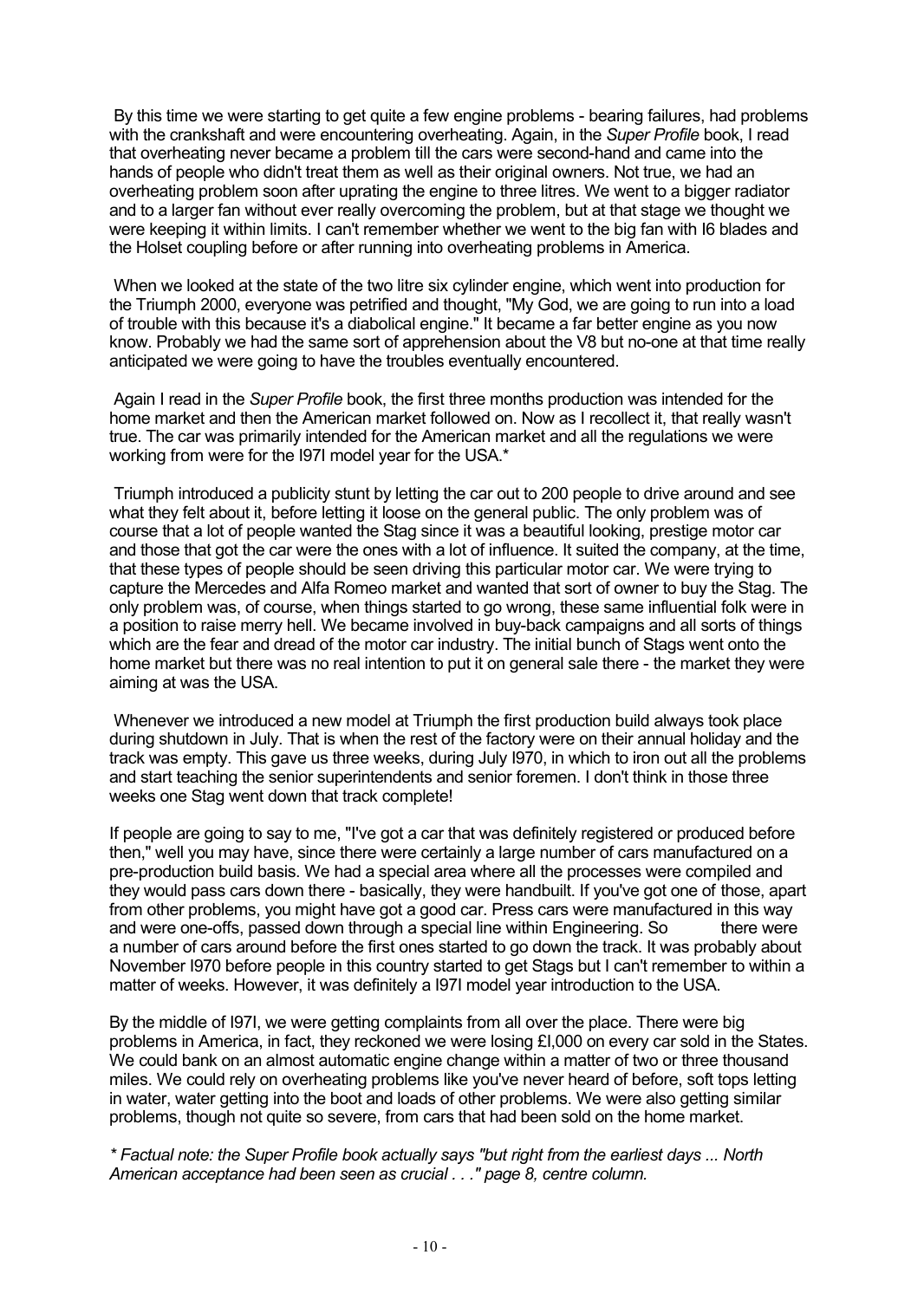By this time we were starting to get quite a few engine problems - bearing failures, had problems with the crankshaft and were encountering overheating. Again, in the *Super Profile* book, I read that overheating never became a problem till the cars were second-hand and came into the hands of people who didn't treat them as well as their original owners. Not true, we had an overheating problem soon after uprating the engine to three litres. We went to a bigger radiator and to a larger fan without ever really overcoming the problem, but at that stage we thought we were keeping it within limits. I can't remember whether we went to the big fan with I6 blades and the Holset coupling before or after running into overheating problems in America.

When we looked at the state of the two litre six cylinder engine, which went into production for the Triumph 2000, everyone was petrified and thought, "My God, we are going to run into a load of trouble with this because it's a diabolical engine." It became a far better engine as you now know. Probably we had the same sort of apprehension about the V8 but no-one at that time really anticipated we were going to have the troubles eventually encountered.

Again I read in the *Super Profile* book, the first three months production was intended for the home market and then the American market followed on. Now as I recollect it, that really wasn't true. The car was primarily intended for the American market and all the regulations we were working from were for the I97I model year for the USA.\*

Triumph introduced a publicity stunt by letting the car out to 200 people to drive around and see what they felt about it, before letting it loose on the general public. The only problem was of course that a lot of people wanted the Stag since it was a beautiful looking, prestige motor car and those that got the car were the ones with a lot of influence. It suited the company, at the time, that these types of people should be seen driving this particular motor car. We were trying to capture the Mercedes and Alfa Romeo market and wanted that sort of owner to buy the Stag. The only problem was, of course, when things started to go wrong, these same influential folk were in a position to raise merry hell. We became involved in buy-back campaigns and all sorts of things which are the fear and dread of the motor car industry. The initial bunch of Stags went onto the home market but there was no real intention to put it on general sale there - the market they were aiming at was the USA.

Whenever we introduced a new model at Triumph the first production build always took place during shutdown in July. That is when the rest of the factory were on their annual holiday and the track was empty. This gave us three weeks, during July I970, in which to iron out all the problems and start teaching the senior superintendents and senior foremen. I don't think in those three weeks one Stag went down that track complete!

If people are going to say to me, "I've got a car that was definitely registered or produced before then," well you may have, since there were certainly a large number of cars manufactured on a pre-production build basis. We had a special area where all the processes were compiled and they would pass cars down there - basically, they were handbuilt. If you've got one of those, apart from other problems, you might have got a good car. Press cars were manufactured in this way and were one-offs, passed down through a special line within Engineering. So there were a number of cars around before the first ones started to go down the track. It was probably about November I970 before people in this country started to get Stags but I can't remember to within a matter of weeks. However, it was definitely a I97I model year introduction to the USA.

By the middle of I97I, we were getting complaints from all over the place. There were big problems in America, in fact, they reckoned we were losing ÉI,000 on every car sold in the States. We could bank on an almost automatic engine change within a matter of two or three thousand miles. We could rely on overheating problems like you've never heard of before, soft tops letting in water, water getting into the boot and loads of other problems. We were also getting similar problems, though not quite so severe, from cars that had been sold on the home market.

*\* Factual note: the Super Profile book actually says "but right from the earliest days ... North American acceptance had been seen as crucial . . ." page 8, centre column.*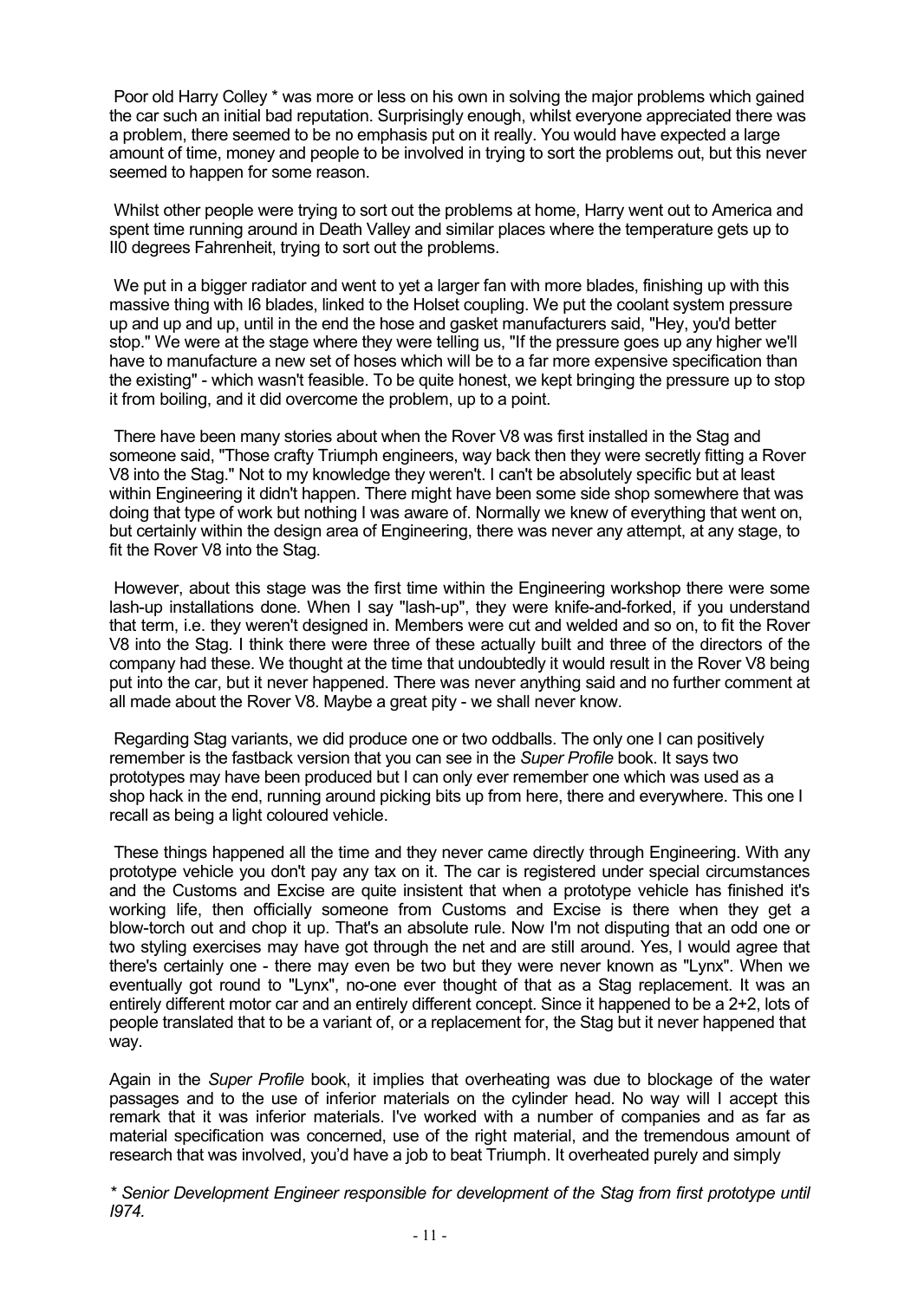Poor old Harry Colley \* was more or less on his own in solving the major problems which gained the car such an initial bad reputation. Surprisingly enough, whilst everyone appreciated there was a problem, there seemed to be no emphasis put on it really. You would have expected a large amount of time, money and people to be involved in trying to sort the problems out, but this never seemed to happen for some reason.

Whilst other people were trying to sort out the problems at home, Harry went out to America and spent time running around in Death Valley and similar places where the temperature gets up to II0 degrees Fahrenheit, trying to sort out the problems.

We put in a bigger radiator and went to yet a larger fan with more blades, finishing up with this massive thing with I6 blades, linked to the Holset coupling. We put the coolant system pressure up and up and up, until in the end the hose and gasket manufacturers said, "Hey, you'd better stop." We were at the stage where they were telling us, "If the pressure goes up any higher we'll have to manufacture a new set of hoses which will be to a far more expensive specification than the existing" - which wasn't feasible. To be quite honest, we kept bringing the pressure up to stop it from boiling, and it did overcome the problem, up to a point.

There have been many stories about when the Rover V8 was first installed in the Stag and someone said, "Those crafty Triumph engineers, way back then they were secretly fitting a Rover V8 into the Stag." Not to my knowledge they weren't. I can't be absolutely specific but at least within Engineering it didn't happen. There might have been some side shop somewhere that was doing that type of work but nothing I was aware of. Normally we knew of everything that went on, but certainly within the design area of Engineering, there was never any attempt, at any stage, to fit the Rover V8 into the Stag.

However, about this stage was the first time within the Engineering workshop there were some lash-up installations done. When I say "lash-up", they were knife-and-forked, if you understand that term, i.e. they weren't designed in. Members were cut and welded and so on, to fit the Rover V8 into the Stag. I think there were three of these actually built and three of the directors of the company had these. We thought at the time that undoubtedly it would result in the Rover V8 being put into the car, but it never happened. There was never anything said and no further comment at all made about the Rover V8. Maybe a great pity - we shall never know.

Regarding Stag variants, we did produce one or two oddballs. The only one I can positively remember is the fastback version that you can see in the *Super Profile* book. It says two prototypes may have been produced but I can only ever remember one which was used as a shop hack in the end, running around picking bits up from here, there and everywhere. This one I recall as being a light coloured vehicle.

These things happened all the time and they never came directly through Engineering. With any prototype vehicle you don't pay any tax on it. The car is registered under special circumstances and the Customs and Excise are quite insistent that when a prototype vehicle has finished it's working life, then officially someone from Customs and Excise is there when they get a blow-torch out and chop it up. That's an absolute rule. Now I'm not disputing that an odd one or two styling exercises may have got through the net and are still around. Yes, I would agree that there's certainly one - there may even be two but they were never known as "Lynx". When we eventually got round to "Lynx", no-one ever thought of that as a Stag replacement. It was an entirely different motor car and an entirely different concept. Since it happened to be a 2+2, lots of people translated that to be a variant of, or a replacement for, the Stag but it never happened that way.

Again in the *Super Profile* book, it implies that overheating was due to blockage of the water passages and to the use of inferior materials on the cylinder head. No way will I accept this remark that it was inferior materials. I've worked with a number of companies and as far as material specification was concerned, use of the right material, and the tremendous amount of research that was involved, you'd have a job to beat Triumph. It overheated purely and simply

*\* Senior Development Engineer responsible for development of the Stag from first prototype until I974.*